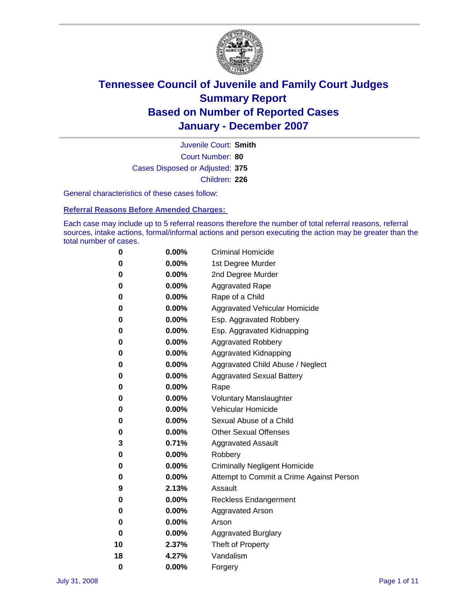

Court Number: **80** Juvenile Court: **Smith** Cases Disposed or Adjusted: **375** Children: **226**

General characteristics of these cases follow:

**Referral Reasons Before Amended Charges:** 

Each case may include up to 5 referral reasons therefore the number of total referral reasons, referral sources, intake actions, formal/informal actions and person executing the action may be greater than the total number of cases.

| 0  | 0.00%    | <b>Criminal Homicide</b>                 |
|----|----------|------------------------------------------|
| 0  | 0.00%    | 1st Degree Murder                        |
| 0  | $0.00\%$ | 2nd Degree Murder                        |
| 0  | 0.00%    | <b>Aggravated Rape</b>                   |
| 0  | 0.00%    | Rape of a Child                          |
| 0  | 0.00%    | Aggravated Vehicular Homicide            |
| 0  | 0.00%    | Esp. Aggravated Robbery                  |
| 0  | 0.00%    | Esp. Aggravated Kidnapping               |
| 0  | 0.00%    | <b>Aggravated Robbery</b>                |
| 0  | 0.00%    | Aggravated Kidnapping                    |
| 0  | 0.00%    | Aggravated Child Abuse / Neglect         |
| 0  | $0.00\%$ | <b>Aggravated Sexual Battery</b>         |
| 0  | 0.00%    | Rape                                     |
| 0  | 0.00%    | <b>Voluntary Manslaughter</b>            |
| 0  | 0.00%    | Vehicular Homicide                       |
| 0  | 0.00%    | Sexual Abuse of a Child                  |
| 0  | 0.00%    | <b>Other Sexual Offenses</b>             |
| 3  | 0.71%    | <b>Aggravated Assault</b>                |
| 0  | $0.00\%$ | Robbery                                  |
| 0  | 0.00%    | <b>Criminally Negligent Homicide</b>     |
| 0  | 0.00%    | Attempt to Commit a Crime Against Person |
| 9  | 2.13%    | Assault                                  |
| 0  | 0.00%    | <b>Reckless Endangerment</b>             |
| 0  | $0.00\%$ | Aggravated Arson                         |
| 0  | 0.00%    | Arson                                    |
| 0  | 0.00%    | <b>Aggravated Burglary</b>               |
| 10 | 2.37%    | Theft of Property                        |
| 18 | 4.27%    | Vandalism                                |
| 0  | 0.00%    | Forgery                                  |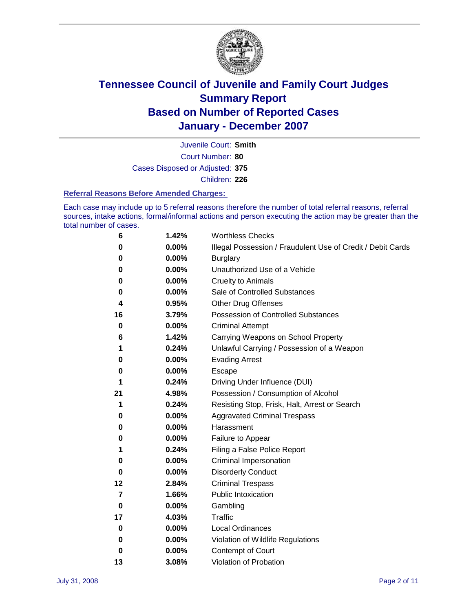

Court Number: **80** Juvenile Court: **Smith** Cases Disposed or Adjusted: **375** Children: **226**

#### **Referral Reasons Before Amended Charges:**

Each case may include up to 5 referral reasons therefore the number of total referral reasons, referral sources, intake actions, formal/informal actions and person executing the action may be greater than the total number of cases.

| 6  | 1.42% | <b>Worthless Checks</b>                                     |
|----|-------|-------------------------------------------------------------|
| 0  | 0.00% | Illegal Possession / Fraudulent Use of Credit / Debit Cards |
| 0  | 0.00% | <b>Burglary</b>                                             |
| 0  | 0.00% | Unauthorized Use of a Vehicle                               |
| 0  | 0.00% | <b>Cruelty to Animals</b>                                   |
| 0  | 0.00% | Sale of Controlled Substances                               |
| 4  | 0.95% | <b>Other Drug Offenses</b>                                  |
| 16 | 3.79% | <b>Possession of Controlled Substances</b>                  |
| 0  | 0.00% | <b>Criminal Attempt</b>                                     |
| 6  | 1.42% | Carrying Weapons on School Property                         |
| 1  | 0.24% | Unlawful Carrying / Possession of a Weapon                  |
| 0  | 0.00% | <b>Evading Arrest</b>                                       |
| 0  | 0.00% | Escape                                                      |
| 1  | 0.24% | Driving Under Influence (DUI)                               |
| 21 | 4.98% | Possession / Consumption of Alcohol                         |
| 1  | 0.24% | Resisting Stop, Frisk, Halt, Arrest or Search               |
| 0  | 0.00% | <b>Aggravated Criminal Trespass</b>                         |
| 0  | 0.00% | Harassment                                                  |
| 0  | 0.00% | Failure to Appear                                           |
| 1  | 0.24% | Filing a False Police Report                                |
| 0  | 0.00% | Criminal Impersonation                                      |
| 0  | 0.00% | <b>Disorderly Conduct</b>                                   |
| 12 | 2.84% | <b>Criminal Trespass</b>                                    |
| 7  | 1.66% | <b>Public Intoxication</b>                                  |
| 0  | 0.00% | Gambling                                                    |
| 17 | 4.03% | Traffic                                                     |
| 0  | 0.00% | <b>Local Ordinances</b>                                     |
| 0  | 0.00% | Violation of Wildlife Regulations                           |
| 0  | 0.00% | Contempt of Court                                           |
| 13 | 3.08% | Violation of Probation                                      |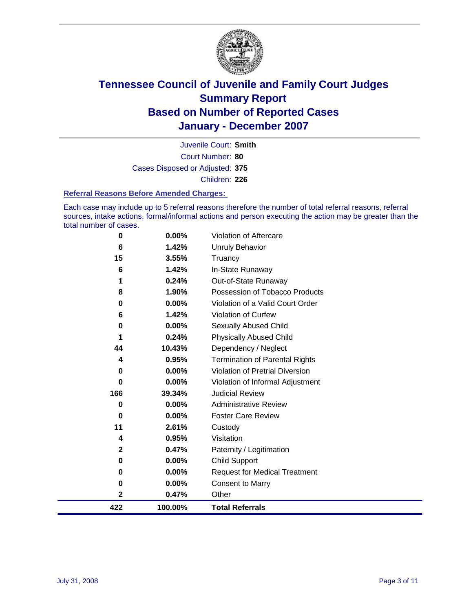

Court Number: **80** Juvenile Court: **Smith** Cases Disposed or Adjusted: **375** Children: **226**

#### **Referral Reasons Before Amended Charges:**

Each case may include up to 5 referral reasons therefore the number of total referral reasons, referral sources, intake actions, formal/informal actions and person executing the action may be greater than the total number of cases.

| 422         | 100.00% | <b>Total Referrals</b>                 |
|-------------|---------|----------------------------------------|
| 2           | 0.47%   | Other                                  |
| $\bf{0}$    | 0.00%   | <b>Consent to Marry</b>                |
| 0           | 0.00%   | <b>Request for Medical Treatment</b>   |
| 0           | 0.00%   | Child Support                          |
| $\mathbf 2$ | 0.47%   | Paternity / Legitimation               |
| 4           | 0.95%   | Visitation                             |
| 11          | 2.61%   | Custody                                |
| $\bf{0}$    | 0.00%   | <b>Foster Care Review</b>              |
| 0           | 0.00%   | <b>Administrative Review</b>           |
| 166         | 39.34%  | <b>Judicial Review</b>                 |
| 0           | 0.00%   | Violation of Informal Adjustment       |
| 0           | 0.00%   | <b>Violation of Pretrial Diversion</b> |
| 4           | 0.95%   | <b>Termination of Parental Rights</b>  |
| 44          | 10.43%  | Dependency / Neglect                   |
| 1           | 0.24%   | <b>Physically Abused Child</b>         |
| 0           | 0.00%   | <b>Sexually Abused Child</b>           |
| 6           | 1.42%   | Violation of Curfew                    |
| $\bf{0}$    | 0.00%   | Violation of a Valid Court Order       |
| 8           | 1.90%   | Possession of Tobacco Products         |
|             | 0.24%   | Out-of-State Runaway                   |
| 6           | 1.42%   | In-State Runaway                       |
| 15          | 3.55%   | Truancy                                |
| 6           | 1.42%   | <b>Unruly Behavior</b>                 |
| $\bf{0}$    | 0.00%   | Violation of Aftercare                 |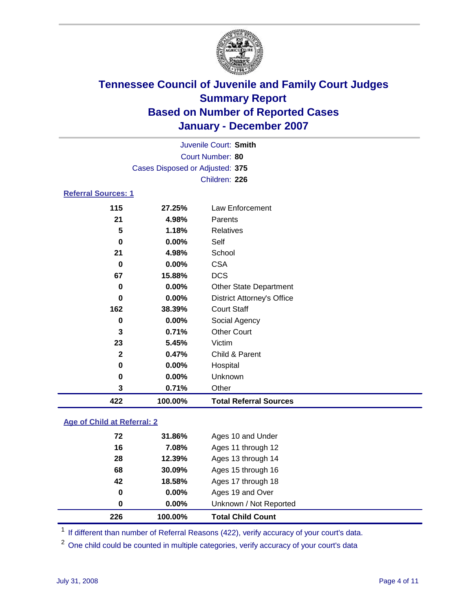

|                            | Juvenile Court: Smith           |                                   |  |  |  |
|----------------------------|---------------------------------|-----------------------------------|--|--|--|
|                            | Court Number: 80                |                                   |  |  |  |
|                            | Cases Disposed or Adjusted: 375 |                                   |  |  |  |
|                            |                                 | Children: 226                     |  |  |  |
| <b>Referral Sources: 1</b> |                                 |                                   |  |  |  |
| 115                        | 27.25%                          | Law Enforcement                   |  |  |  |
| 21                         | 4.98%                           | Parents                           |  |  |  |
| 5                          | 1.18%                           | <b>Relatives</b>                  |  |  |  |
| $\bf{0}$                   | $0.00\%$                        | Self                              |  |  |  |
| 21                         | 4.98%                           | School                            |  |  |  |
| 0                          | $0.00\%$                        | <b>CSA</b>                        |  |  |  |
| 67                         | 15.88%                          | <b>DCS</b>                        |  |  |  |
| 0                          | $0.00\%$                        | <b>Other State Department</b>     |  |  |  |
| 0                          | $0.00\%$                        | <b>District Attorney's Office</b> |  |  |  |
| 162                        | 38.39%                          | <b>Court Staff</b>                |  |  |  |
| 0                          | 0.00%                           | Social Agency                     |  |  |  |
| 3                          | 0.71%                           | <b>Other Court</b>                |  |  |  |
| 23                         | 5.45%                           | Victim                            |  |  |  |
| $\mathbf{2}$               | 0.47%                           | Child & Parent                    |  |  |  |
| 0                          | $0.00\%$                        | Hospital                          |  |  |  |

### **Age of Child at Referral: 2**

| 226 | 100.00% | <b>Total Child Count</b> |  |
|-----|---------|--------------------------|--|
| 0   | 0.00%   | Unknown / Not Reported   |  |
| 0   | 0.00%   | Ages 19 and Over         |  |
| 42  | 18.58%  | Ages 17 through 18       |  |
| 68  | 30.09%  | Ages 15 through 16       |  |
| 28  | 12.39%  | Ages 13 through 14       |  |
| 16  | 7.08%   | Ages 11 through 12       |  |
| 72  | 31.86%  | Ages 10 and Under        |  |
|     |         |                          |  |

<sup>1</sup> If different than number of Referral Reasons (422), verify accuracy of your court's data.

 **0.00%** Unknown **0.71%** Other

**100.00% Total Referral Sources**

<sup>2</sup> One child could be counted in multiple categories, verify accuracy of your court's data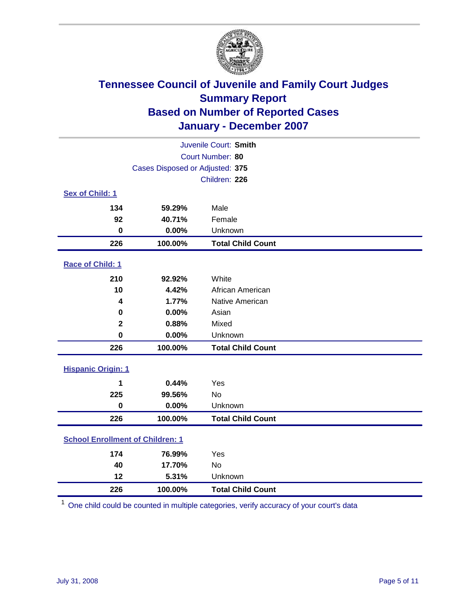

| Juvenile Court: Smith                   |                                 |                          |  |
|-----------------------------------------|---------------------------------|--------------------------|--|
| Court Number: 80                        |                                 |                          |  |
|                                         | Cases Disposed or Adjusted: 375 |                          |  |
|                                         |                                 | Children: 226            |  |
| Sex of Child: 1                         |                                 |                          |  |
| 134                                     | 59.29%                          | Male                     |  |
| 92                                      | 40.71%                          | Female                   |  |
| $\bf{0}$                                | 0.00%                           | Unknown                  |  |
| 226                                     | 100.00%                         | <b>Total Child Count</b> |  |
| Race of Child: 1                        |                                 |                          |  |
| 210                                     | 92.92%                          | White                    |  |
| 10                                      | 4.42%                           | African American         |  |
| 4                                       | 1.77%                           | Native American          |  |
| 0                                       | 0.00%                           | Asian                    |  |
| $\mathbf 2$                             | 0.88%                           | Mixed                    |  |
| $\mathbf 0$                             | 0.00%                           | Unknown                  |  |
| 226                                     | 100.00%                         | <b>Total Child Count</b> |  |
| <b>Hispanic Origin: 1</b>               |                                 |                          |  |
| 1                                       | 0.44%                           | Yes                      |  |
| 225                                     | 99.56%                          | <b>No</b>                |  |
| $\mathbf 0$                             | 0.00%                           | Unknown                  |  |
| 226                                     | 100.00%                         | <b>Total Child Count</b> |  |
| <b>School Enrollment of Children: 1</b> |                                 |                          |  |
| 174                                     | 76.99%                          | Yes                      |  |
| 40                                      | 17.70%                          | No                       |  |
| 12                                      | 5.31%                           | Unknown                  |  |
| 226                                     | 100.00%                         | <b>Total Child Count</b> |  |

One child could be counted in multiple categories, verify accuracy of your court's data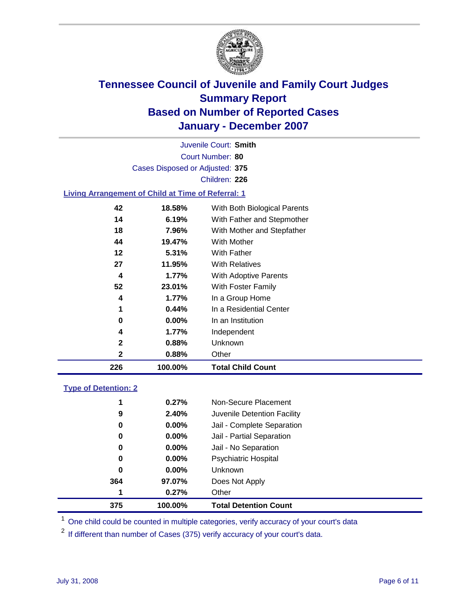

Court Number: **80** Juvenile Court: **Smith** Cases Disposed or Adjusted: **375** Children: **226**

#### **Living Arrangement of Child at Time of Referral: 1**

| 226          | 100.00%  | <b>Total Child Count</b>     |
|--------------|----------|------------------------------|
| 2            | 0.88%    | Other                        |
| $\mathbf{2}$ | 0.88%    | Unknown                      |
| 4            | 1.77%    | Independent                  |
| 0            | $0.00\%$ | In an Institution            |
| 1            | 0.44%    | In a Residential Center      |
| 4            | 1.77%    | In a Group Home              |
| 52           | 23.01%   | With Foster Family           |
| 4            | 1.77%    | With Adoptive Parents        |
| 27           | 11.95%   | <b>With Relatives</b>        |
| 12           | 5.31%    | With Father                  |
| 44           | 19.47%   | With Mother                  |
| 18           | 7.96%    | With Mother and Stepfather   |
| 14           | 6.19%    | With Father and Stepmother   |
| 42           | 18.58%   | With Both Biological Parents |
|              |          |                              |

#### **Type of Detention: 2**

| 375 | 100.00%  | <b>Total Detention Count</b> |  |
|-----|----------|------------------------------|--|
| 1   | 0.27%    | Other                        |  |
| 364 | 97.07%   | Does Not Apply               |  |
| 0   | $0.00\%$ | Unknown                      |  |
| 0   | $0.00\%$ | <b>Psychiatric Hospital</b>  |  |
| 0   | $0.00\%$ | Jail - No Separation         |  |
| 0   | $0.00\%$ | Jail - Partial Separation    |  |
| 0   | $0.00\%$ | Jail - Complete Separation   |  |
| 9   | 2.40%    | Juvenile Detention Facility  |  |
| 1   | 0.27%    | Non-Secure Placement         |  |
|     |          |                              |  |

<sup>1</sup> One child could be counted in multiple categories, verify accuracy of your court's data

<sup>2</sup> If different than number of Cases (375) verify accuracy of your court's data.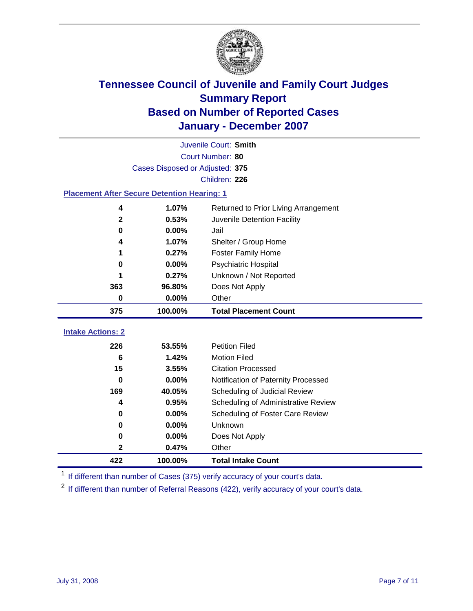

|                                                    | Juvenile Court: Smith           |                                      |  |  |  |
|----------------------------------------------------|---------------------------------|--------------------------------------|--|--|--|
|                                                    | Court Number: 80                |                                      |  |  |  |
|                                                    | Cases Disposed or Adjusted: 375 |                                      |  |  |  |
|                                                    |                                 | Children: 226                        |  |  |  |
| <b>Placement After Secure Detention Hearing: 1</b> |                                 |                                      |  |  |  |
| 4                                                  | 1.07%                           | Returned to Prior Living Arrangement |  |  |  |
| $\mathbf 2$                                        | 0.53%                           | Juvenile Detention Facility          |  |  |  |
| $\bf{0}$                                           | 0.00%                           | Jail                                 |  |  |  |
| 4                                                  | 1.07%                           | Shelter / Group Home                 |  |  |  |
| 1                                                  | 0.27%                           | <b>Foster Family Home</b>            |  |  |  |
| 0                                                  | 0.00%                           | Psychiatric Hospital                 |  |  |  |
|                                                    | 0.27%                           | Unknown / Not Reported               |  |  |  |
| 363                                                | 96.80%                          | Does Not Apply                       |  |  |  |
| 0                                                  | 0.00%                           | Other                                |  |  |  |
| 375                                                | 100.00%                         | <b>Total Placement Count</b>         |  |  |  |
|                                                    |                                 |                                      |  |  |  |
| <b>Intake Actions: 2</b>                           |                                 |                                      |  |  |  |
| 226                                                | 53.55%                          | <b>Petition Filed</b>                |  |  |  |
| 6                                                  | 1.42%                           | <b>Motion Filed</b>                  |  |  |  |
| 15                                                 | 3.55%                           | <b>Citation Processed</b>            |  |  |  |
| 0                                                  | 0.00%                           | Notification of Paternity Processed  |  |  |  |
| 169                                                | 40.05%                          | Scheduling of Judicial Review        |  |  |  |
| 4                                                  | 0.95%                           | Scheduling of Administrative Review  |  |  |  |
| 0                                                  | 0.00%                           | Scheduling of Foster Care Review     |  |  |  |
| $\bf{0}$                                           | 0.00%                           | Unknown                              |  |  |  |
| $\bf{0}$                                           | 0.00%                           | Does Not Apply                       |  |  |  |
| $\mathbf 2$                                        | 0.47%                           | Other                                |  |  |  |
| 422                                                | 100.00%                         | <b>Total Intake Count</b>            |  |  |  |

<sup>1</sup> If different than number of Cases (375) verify accuracy of your court's data.

<sup>2</sup> If different than number of Referral Reasons (422), verify accuracy of your court's data.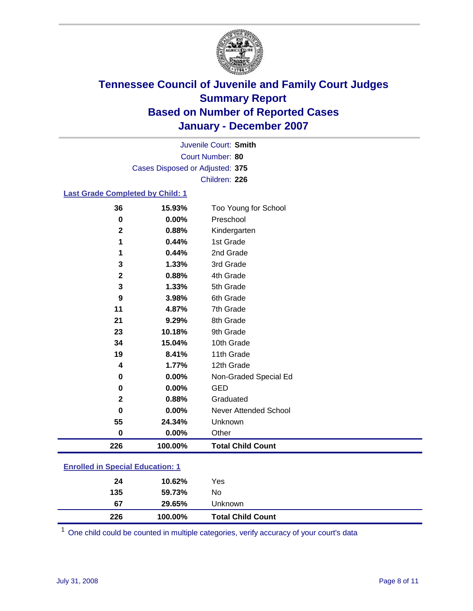

Court Number: **80** Juvenile Court: **Smith** Cases Disposed or Adjusted: **375** Children: **226**

#### **Last Grade Completed by Child: 1**

| 36          | 15.93%  | Too Young for School     |
|-------------|---------|--------------------------|
| $\mathbf 0$ | 0.00%   | Preschool                |
| $\mathbf 2$ | 0.88%   | Kindergarten             |
| 1           | 0.44%   | 1st Grade                |
| 1           | 0.44%   | 2nd Grade                |
| 3           | 1.33%   | 3rd Grade                |
| $\mathbf 2$ | 0.88%   | 4th Grade                |
| 3           | 1.33%   | 5th Grade                |
| 9           | 3.98%   | 6th Grade                |
| 11          | 4.87%   | 7th Grade                |
| 21          | 9.29%   | 8th Grade                |
| 23          | 10.18%  | 9th Grade                |
| 34          | 15.04%  | 10th Grade               |
| 19          | 8.41%   | 11th Grade               |
| 4           | 1.77%   | 12th Grade               |
| 0           | 0.00%   | Non-Graded Special Ed    |
| $\mathbf 0$ | 0.00%   | <b>GED</b>               |
| $\mathbf 2$ | 0.88%   | Graduated                |
| $\mathbf 0$ | 0.00%   | Never Attended School    |
| 55          | 24.34%  | Unknown                  |
| $\bf{0}$    | 0.00%   | Other                    |
| 226         | 100.00% | <b>Total Child Count</b> |

### **Enrolled in Special Education: 1**

| 24<br>135 | 10.62%<br>59.73% | Yes<br>No                |
|-----------|------------------|--------------------------|
| 67        | 29.65%           | Unknown                  |
| 226       | 100.00%          | <b>Total Child Count</b> |

One child could be counted in multiple categories, verify accuracy of your court's data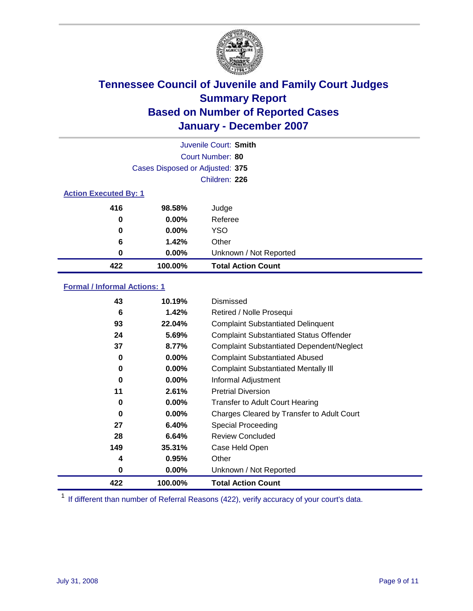

| Juvenile Court: Smith        |                                 |                           |  |  |  |
|------------------------------|---------------------------------|---------------------------|--|--|--|
|                              | Court Number: 80                |                           |  |  |  |
|                              | Cases Disposed or Adjusted: 375 |                           |  |  |  |
|                              |                                 | Children: 226             |  |  |  |
| <b>Action Executed By: 1</b> |                                 |                           |  |  |  |
| 416                          | 98.58%                          | Judge                     |  |  |  |
| 0                            | $0.00\%$                        | Referee                   |  |  |  |
| 0                            | 0.00%                           | <b>YSO</b>                |  |  |  |
| 6                            | 1.42%                           | Other                     |  |  |  |
| 0                            | $0.00\%$                        | Unknown / Not Reported    |  |  |  |
| 422                          | 100.00%                         | <b>Total Action Count</b> |  |  |  |

### **Formal / Informal Actions: 1**

| 43  | 10.19%   | Dismissed                                        |
|-----|----------|--------------------------------------------------|
| 6   | 1.42%    | Retired / Nolle Prosequi                         |
| 93  | 22.04%   | <b>Complaint Substantiated Delinquent</b>        |
| 24  | 5.69%    | <b>Complaint Substantiated Status Offender</b>   |
| 37  | 8.77%    | <b>Complaint Substantiated Dependent/Neglect</b> |
| 0   | 0.00%    | <b>Complaint Substantiated Abused</b>            |
| 0   | $0.00\%$ | <b>Complaint Substantiated Mentally III</b>      |
| 0   | $0.00\%$ | Informal Adjustment                              |
| 11  | 2.61%    | <b>Pretrial Diversion</b>                        |
| 0   | $0.00\%$ | <b>Transfer to Adult Court Hearing</b>           |
| 0   | $0.00\%$ | Charges Cleared by Transfer to Adult Court       |
| 27  | 6.40%    | Special Proceeding                               |
| 28  | 6.64%    | <b>Review Concluded</b>                          |
| 149 | 35.31%   | Case Held Open                                   |
| 4   | 0.95%    | Other                                            |
| 0   | 0.00%    | Unknown / Not Reported                           |
| 422 | 100.00%  | <b>Total Action Count</b>                        |

<sup>1</sup> If different than number of Referral Reasons (422), verify accuracy of your court's data.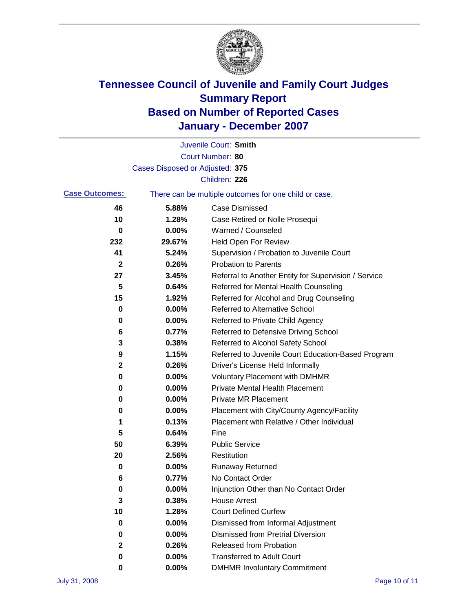

|                       |                                 | Juvenile Court: Smith                                 |
|-----------------------|---------------------------------|-------------------------------------------------------|
|                       |                                 | Court Number: 80                                      |
|                       | Cases Disposed or Adjusted: 375 |                                                       |
|                       |                                 | Children: 226                                         |
| <b>Case Outcomes:</b> |                                 | There can be multiple outcomes for one child or case. |
| 46                    | 5.88%                           | <b>Case Dismissed</b>                                 |
| 10                    | 1.28%                           | Case Retired or Nolle Prosequi                        |
| 0                     | 0.00%                           | Warned / Counseled                                    |
| 232                   | 29.67%                          | Held Open For Review                                  |
| 41                    | 5.24%                           | Supervision / Probation to Juvenile Court             |
| $\mathbf{2}$          | 0.26%                           | <b>Probation to Parents</b>                           |
| 27                    | 3.45%                           | Referral to Another Entity for Supervision / Service  |
| 5                     | 0.64%                           | Referred for Mental Health Counseling                 |
| 15                    | 1.92%                           | Referred for Alcohol and Drug Counseling              |
| 0                     | 0.00%                           | <b>Referred to Alternative School</b>                 |
| 0                     | 0.00%                           | Referred to Private Child Agency                      |
| 6                     | 0.77%                           | Referred to Defensive Driving School                  |
| 3                     | 0.38%                           | Referred to Alcohol Safety School                     |
| 9                     | 1.15%                           | Referred to Juvenile Court Education-Based Program    |
| 2                     | 0.26%                           | Driver's License Held Informally                      |
| 0                     | 0.00%                           | <b>Voluntary Placement with DMHMR</b>                 |
| 0                     | 0.00%                           | <b>Private Mental Health Placement</b>                |
| 0                     | 0.00%                           | <b>Private MR Placement</b>                           |
| 0                     | 0.00%                           | Placement with City/County Agency/Facility            |
| 1                     | 0.13%                           | Placement with Relative / Other Individual            |
| 5                     | 0.64%                           | Fine                                                  |
| 50                    | 6.39%                           | <b>Public Service</b>                                 |
| 20                    | 2.56%                           | Restitution                                           |
| 0                     | 0.00%                           | <b>Runaway Returned</b>                               |
| 6                     | 0.77%                           | No Contact Order                                      |
| 0                     | 0.00%                           | Injunction Other than No Contact Order                |
| 3                     | 0.38%                           | <b>House Arrest</b>                                   |
| 10                    | 1.28%                           | <b>Court Defined Curfew</b>                           |
| 0                     | 0.00%                           | Dismissed from Informal Adjustment                    |
| 0                     | 0.00%                           | <b>Dismissed from Pretrial Diversion</b>              |
| 2                     | 0.26%                           | <b>Released from Probation</b>                        |
| 0                     | 0.00%                           | <b>Transferred to Adult Court</b>                     |
| 0                     | 0.00%                           | <b>DMHMR Involuntary Commitment</b>                   |